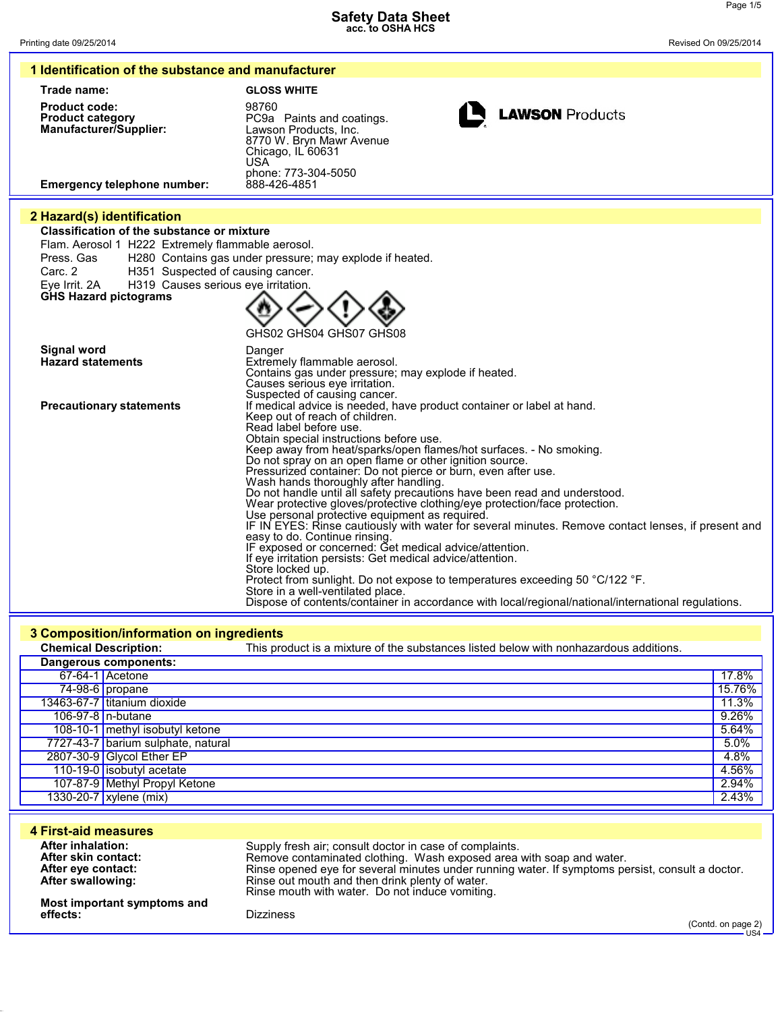**1 Identification of the substance and manufacturer**

| Trade name:                                                                                                                                                                                                                                                                                | <b>GLOSS WHITE</b>                                                                                                                                                                                                                                                                                                                                                                                                                                                                                                                                                                                                                                                                                                                                                                                                                                                                                                                                                                                                                                                                                                                                 |
|--------------------------------------------------------------------------------------------------------------------------------------------------------------------------------------------------------------------------------------------------------------------------------------------|----------------------------------------------------------------------------------------------------------------------------------------------------------------------------------------------------------------------------------------------------------------------------------------------------------------------------------------------------------------------------------------------------------------------------------------------------------------------------------------------------------------------------------------------------------------------------------------------------------------------------------------------------------------------------------------------------------------------------------------------------------------------------------------------------------------------------------------------------------------------------------------------------------------------------------------------------------------------------------------------------------------------------------------------------------------------------------------------------------------------------------------------------|
| <b>Product code:</b><br><b>Product category</b><br>Manufacturer/Supplier:<br><b>Emergency telephone number:</b>                                                                                                                                                                            | 98760<br><b>LAWSON Products</b><br>PC9a Paints and coatings.<br>Lawson Products, Inc.<br>8770 W. Bryn Mawr Avenue<br>Chicago, IL 60631<br><b>USA</b><br>phone: 773-304-5050<br>888-426-4851                                                                                                                                                                                                                                                                                                                                                                                                                                                                                                                                                                                                                                                                                                                                                                                                                                                                                                                                                        |
|                                                                                                                                                                                                                                                                                            |                                                                                                                                                                                                                                                                                                                                                                                                                                                                                                                                                                                                                                                                                                                                                                                                                                                                                                                                                                                                                                                                                                                                                    |
| 2 Hazard(s) identification<br><b>Classification of the substance or mixture</b><br>Flam. Aerosol 1 H222 Extremely flammable aerosol.<br>Press, Gas<br>H351 Suspected of causing cancer.<br>Carc. 2<br>H319 Causes serious eye irritation.<br>Eye Irrit. 2A<br><b>GHS Hazard pictograms</b> | H280 Contains gas under pressure; may explode if heated.                                                                                                                                                                                                                                                                                                                                                                                                                                                                                                                                                                                                                                                                                                                                                                                                                                                                                                                                                                                                                                                                                           |
| Signal word<br><b>Hazard statements</b>                                                                                                                                                                                                                                                    | GHS02 GHS04 GHS07 GHS08<br>Danger<br>Extremely flammable aerosol.<br>Contains gas under pressure; may explode if heated.<br>Causes serious eye irritation.<br>Suspected of causing cancer.                                                                                                                                                                                                                                                                                                                                                                                                                                                                                                                                                                                                                                                                                                                                                                                                                                                                                                                                                         |
| <b>Precautionary statements</b>                                                                                                                                                                                                                                                            | If medical advice is needed, have product container or label at hand.<br>Keep out of reach of children.<br>Read label before use.<br>Obtain special instructions before use.<br>Keep away from heat/sparks/open flames/hot surfaces. - No smoking.<br>Do not spray on an open flame or other ignition source.<br>Pressurized container: Do not pierce or burn, even after use.<br>Wash hands thoroughly after handling.<br>Do not handle until all safety precautions have been read and understood.<br>Wear protective gloves/protective clothing/eye protection/face protection.<br>Use personal protective equipment as required.<br>IF IN EYES: Rinse cautiously with water for several minutes. Remove contact lenses, if present and<br>easy to do. Continue rinsing.<br>IF exposed or concerned: Get medical advice/attention.<br>If eye irritation persists: Get medical advice/attention.<br>Store locked up.<br>Protect from sunlight. Do not expose to temperatures exceeding 50 °C/122 °F.<br>Store in a well-ventilated place.<br>Dispose of contents/container in accordance with local/regional/national/international regulations. |

## **3 Composition/information on ingredients**

|                       | <b>Chemical Description:</b>       | This product is a mixture of the substances listed below with nonhazardous additions. |        |
|-----------------------|------------------------------------|---------------------------------------------------------------------------------------|--------|
| Dangerous components: |                                    |                                                                                       |        |
|                       | 67-64-1 Acetone                    |                                                                                       | 17.8%  |
|                       | $74-98-6$ propane                  |                                                                                       | 15.76% |
|                       | 13463-67-7 titanium dioxide        |                                                                                       | 11.3%  |
|                       | 106-97-8 n-butane                  |                                                                                       | 9.26%  |
|                       | 108-10-1 methyl isobutyl ketone    |                                                                                       | 5.64%  |
|                       | 7727-43-7 barium sulphate, natural |                                                                                       | 5.0%   |
|                       | 2807-30-9 Glycol Ether EP          |                                                                                       | 4.8%   |
|                       | 110-19-0 isobutyl acetate          |                                                                                       | 4.56%  |
|                       | 107-87-9 Methyl Propyl Ketone      |                                                                                       | 2.94%  |
|                       | 1330-20-7 xylene (mix)             |                                                                                       | 2.43%  |
|                       |                                    |                                                                                       |        |

| 4 First-aid measures        | Supply fresh air; consult doctor in case of complaints.                                          |
|-----------------------------|--------------------------------------------------------------------------------------------------|
| <b>After inhalation:</b>    | Remove contaminated clothing. Wash exposed area with soap and water.                             |
| After skin contact:         | Rinse opened eye for several minutes under running water. If symptoms persist, consult a doctor. |
| After eye contact:          | Rinse out mouth and then drink plenty of water.                                                  |
| After swallowing:           | Rinse mouth with water. Do not induce vomiting.                                                  |
| Most important symptoms and | <b>Dizziness</b>                                                                                 |
| effects:                    | (Contd. on page 2)                                                                               |
|                             | · US4                                                                                            |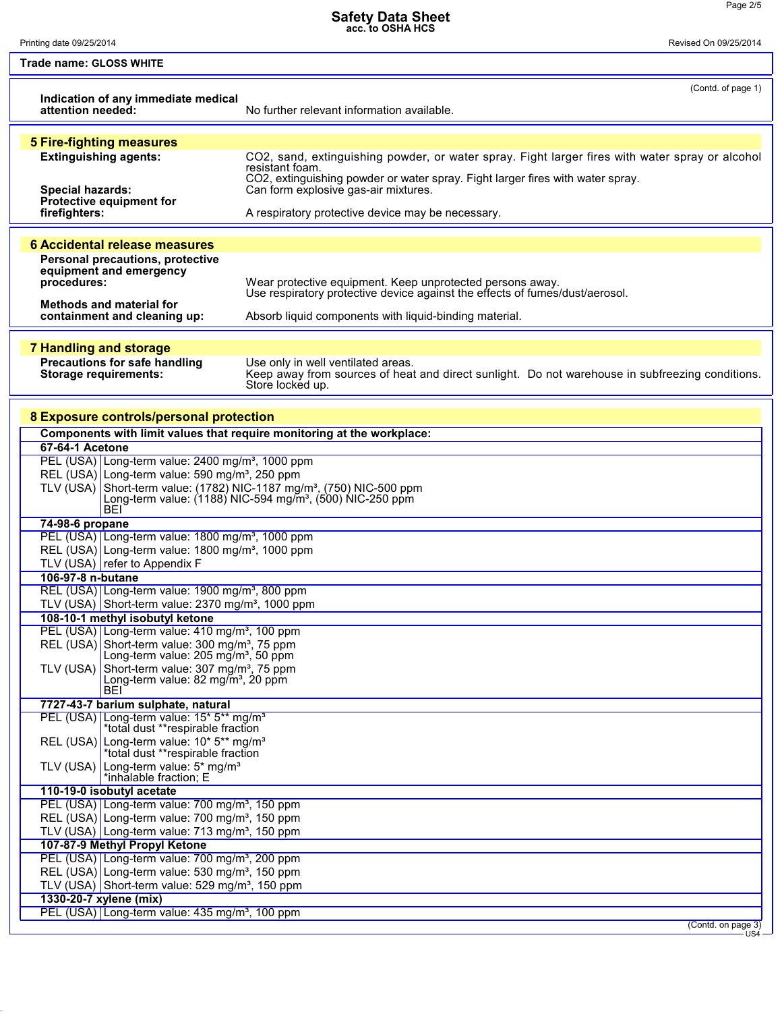Printing date 09/25/2014 Revised On 09/25/2014

 $\mathsf{L}$ 

| ـ |  |
|---|--|
|   |  |
|   |  |
|   |  |

| Trade name: GLOSS WHITE                                                                                       |                                                                                                                                           |  |
|---------------------------------------------------------------------------------------------------------------|-------------------------------------------------------------------------------------------------------------------------------------------|--|
| Indication of any immediate medical<br>attention needed:                                                      | (Contd. of page 1)<br>No further relevant information available.                                                                          |  |
| <b>5 Fire-fighting measures</b>                                                                               |                                                                                                                                           |  |
| <b>Extinguishing agents:</b>                                                                                  | CO2, sand, extinguishing powder, or water spray. Fight larger fires with water spray or alcohol                                           |  |
|                                                                                                               | resistant foam.                                                                                                                           |  |
| <b>Special hazards:</b>                                                                                       | CO2, extinguishing powder or water spray. Fight larger fires with water spray.<br>Can form explosive gas-air mixtures.                    |  |
| Protective equipment for                                                                                      |                                                                                                                                           |  |
| firefighters:                                                                                                 | A respiratory protective device may be necessary.                                                                                         |  |
|                                                                                                               |                                                                                                                                           |  |
| <b>6 Accidental release measures</b>                                                                          |                                                                                                                                           |  |
| Personal precautions, protective                                                                              |                                                                                                                                           |  |
| equipment and emergency                                                                                       |                                                                                                                                           |  |
| procedures:                                                                                                   | Wear protective equipment. Keep unprotected persons away.<br>Use respiratory protective device against the effects of fumes/dust/aerosol. |  |
| <b>Methods and material for</b>                                                                               |                                                                                                                                           |  |
| containment and cleaning up:                                                                                  | Absorb liquid components with liquid-binding material.                                                                                    |  |
|                                                                                                               |                                                                                                                                           |  |
| <b>7 Handling and storage</b>                                                                                 |                                                                                                                                           |  |
| Precautions for safe handling                                                                                 | Use only in well ventilated areas.                                                                                                        |  |
| <b>Storage requirements:</b>                                                                                  | Keep away from sources of heat and direct sunlight. Do not warehouse in subfreezing conditions.<br>Store locked up.                       |  |
|                                                                                                               |                                                                                                                                           |  |
| 8 Exposure controls/personal protection                                                                       |                                                                                                                                           |  |
| Components with limit values that require monitoring at the workplace:                                        |                                                                                                                                           |  |
| 67-64-1 Acetone                                                                                               |                                                                                                                                           |  |
| PEL (USA) Long-term value: 2400 mg/m <sup>3</sup> , 1000 ppm                                                  |                                                                                                                                           |  |
| REL (USA) Long-term value: 590 mg/m <sup>3</sup> , 250 ppm                                                    |                                                                                                                                           |  |
| TLV (USA) Short-term value: (1782) NIC-1187 mg/m <sup>3</sup> , (750) NIC-500 ppm                             |                                                                                                                                           |  |
|                                                                                                               | Long-term value: (1188) NIC-594 mg/m <sup>3</sup> , (500) NIC-250 ppm                                                                     |  |
| <b>BEI</b><br>74-98-6 propane                                                                                 |                                                                                                                                           |  |
| PEL (USA) Long-term value: 1800 mg/m <sup>3</sup> , 1000 ppm                                                  |                                                                                                                                           |  |
| REL (USA) Long-term value: 1800 mg/m <sup>3</sup> , 1000 ppm                                                  |                                                                                                                                           |  |
| TLV (USA) refer to Appendix F                                                                                 |                                                                                                                                           |  |
| 106-97-8 n-butane                                                                                             |                                                                                                                                           |  |
| REL (USA) Long-term value: 1900 mg/m <sup>3</sup> , 800 ppm                                                   |                                                                                                                                           |  |
| TLV (USA) Short-term value: 2370 mg/m <sup>3</sup> , 1000 ppm                                                 |                                                                                                                                           |  |
| 108-10-1 methyl isobutyl ketone                                                                               |                                                                                                                                           |  |
| PEL (USA) Long-term value: 410 mg/m <sup>3</sup> , 100 ppm                                                    |                                                                                                                                           |  |
| REL (USA) Short-term value: 300 mg/m <sup>3</sup> , 75 ppm<br>Long-term value: 205 mg/m <sup>3</sup> , 50 ppm |                                                                                                                                           |  |
| TLV (USA) Short-term value: 307 mg/m <sup>3</sup> , 75 ppm                                                    |                                                                                                                                           |  |
| Long-term value: 82 mg/m <sup>3</sup> , 20 ppm                                                                |                                                                                                                                           |  |
| <b>BEI</b>                                                                                                    |                                                                                                                                           |  |
| 7727-43-7 barium sulphate, natural                                                                            |                                                                                                                                           |  |
| PEL (USA) Long-term value: 15* 5** mg/m <sup>3</sup><br>*total dust **respirable fraction                     |                                                                                                                                           |  |
| REL (USA) Long-term value: 10* 5** mg/m <sup>3</sup>                                                          |                                                                                                                                           |  |
| *total dust **respirable fraction                                                                             |                                                                                                                                           |  |
| TLV (USA) Long-term value: 5* mg/m <sup>3</sup>                                                               |                                                                                                                                           |  |
| *inhalable fraction; E<br>110-19-0 isobutyl acetate                                                           |                                                                                                                                           |  |
| PEL (USA) Long-term value: 700 mg/m <sup>3</sup> , 150 ppm                                                    |                                                                                                                                           |  |
| REL (USA) Long-term value: 700 mg/m <sup>3</sup> , 150 ppm                                                    |                                                                                                                                           |  |
| TLV (USA) Long-term value: 713 mg/m <sup>3</sup> , 150 ppm                                                    |                                                                                                                                           |  |
| 107-87-9 Methyl Propyl Ketone                                                                                 |                                                                                                                                           |  |
| PEL (USA) Long-term value: 700 mg/m <sup>3</sup> , 200 ppm                                                    |                                                                                                                                           |  |
| REL (USA) Long-term value: 530 mg/m <sup>3</sup> , 150 ppm                                                    |                                                                                                                                           |  |
| TLV (USA) Short-term value: 529 mg/m <sup>3</sup> , 150 ppm                                                   |                                                                                                                                           |  |
| 1330-20-7 xylene (mix)                                                                                        |                                                                                                                                           |  |
| PEL (USA) Long-term value: 435 mg/m <sup>3</sup> , 100 ppm                                                    |                                                                                                                                           |  |
|                                                                                                               | (Contd. on page 3)                                                                                                                        |  |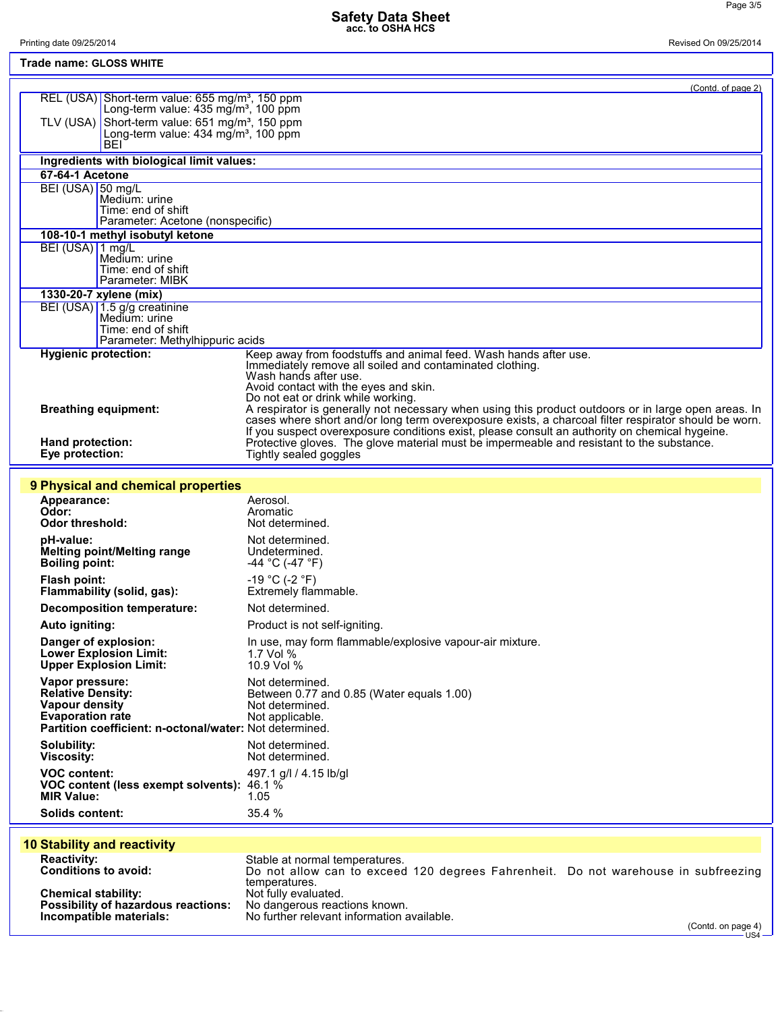| Printing date 09/25/2014                                                           | Revised On 09/25/2014                            |                                                                                                                                                                                             |
|------------------------------------------------------------------------------------|--------------------------------------------------|---------------------------------------------------------------------------------------------------------------------------------------------------------------------------------------------|
| Trade name: GLOSS WHITE                                                            |                                                  |                                                                                                                                                                                             |
|                                                                                    |                                                  |                                                                                                                                                                                             |
| REL (USA) Short-term value: 655 mg/m <sup>3</sup> , 150 ppm                        |                                                  | (Contd. of page 2)                                                                                                                                                                          |
|                                                                                    | Long-term value: $435 \text{ mg/m}^3$ , 100 ppm  |                                                                                                                                                                                             |
| TLV (USA) Short-term value: $651 \text{ mg/m}^3$ , 150 ppm                         | Long-term value: 434 mg/m <sup>3</sup> , 100 ppm |                                                                                                                                                                                             |
| BEI                                                                                |                                                  |                                                                                                                                                                                             |
| Ingredients with biological limit values:                                          |                                                  |                                                                                                                                                                                             |
| 67-64-1 Acetone                                                                    |                                                  |                                                                                                                                                                                             |
| BEI (USA) 50 mg/L<br>Medium: urine                                                 |                                                  |                                                                                                                                                                                             |
| Time: end of shift                                                                 |                                                  |                                                                                                                                                                                             |
| Parameter: Acetone (nonspecific)                                                   |                                                  |                                                                                                                                                                                             |
| 108-10-1 methyl isobutyl ketone<br>BEI (USA) 1 mg/L                                |                                                  |                                                                                                                                                                                             |
| Medium: urine                                                                      |                                                  |                                                                                                                                                                                             |
| Time: end of shift<br>Parameter: MIBK                                              |                                                  |                                                                                                                                                                                             |
| 1330-20-7 xylene (mix)                                                             |                                                  |                                                                                                                                                                                             |
| BEI (USA) 1.5 g/g creatinine                                                       |                                                  |                                                                                                                                                                                             |
| Medium: urine<br>Time: end of shift                                                |                                                  |                                                                                                                                                                                             |
| Parameter: Methylhippuric acids                                                    |                                                  |                                                                                                                                                                                             |
| <b>Hygienic protection:</b>                                                        |                                                  | Keep away from foodstuffs and animal feed. Wash hands after use.<br>Immediately remove all soiled and contaminated clothing.                                                                |
|                                                                                    |                                                  | Wash hands after use.                                                                                                                                                                       |
|                                                                                    |                                                  | Avoid contact with the eyes and skin.<br>Do not eat or drink while working.                                                                                                                 |
| <b>Breathing equipment:</b>                                                        |                                                  | A respirator is generally not necessary when using this product outdoors or in large open areas. In                                                                                         |
|                                                                                    |                                                  | cases where short and/or long term overexposure exists, a charcoal filter respirator should be worn.                                                                                        |
| Hand protection:                                                                   |                                                  | If you suspect overexposure conditions exist, please consult an authority on chemical hygeine.<br>Protective gloves. The glove material must be impermeable and resistant to the substance. |
| Eye protection:                                                                    |                                                  | Tightly sealed goggles                                                                                                                                                                      |
|                                                                                    |                                                  |                                                                                                                                                                                             |
| 9 Physical and chemical properties                                                 |                                                  |                                                                                                                                                                                             |
| Appearance:<br>Odor:                                                               |                                                  | Aerosol.<br>Aromatic                                                                                                                                                                        |
| <b>Odor threshold:</b>                                                             |                                                  | Not determined.                                                                                                                                                                             |
| pH-value:                                                                          |                                                  | Not determined.                                                                                                                                                                             |
| Melting point/Melting range<br><b>Boiling point:</b>                               |                                                  | Undetermined.<br>-44 °C (-47 °F)                                                                                                                                                            |
| <b>Flash point:</b>                                                                |                                                  | $-19 °C (-2 °F)$                                                                                                                                                                            |
| Flammability (solid, gas):                                                         |                                                  | Extremely flammable.                                                                                                                                                                        |
| <b>Decomposition temperature:</b>                                                  |                                                  | Not determined.                                                                                                                                                                             |
| Auto igniting:                                                                     |                                                  | Product is not self-igniting.                                                                                                                                                               |
| Danger of explosion:                                                               |                                                  | In use, may form flammable/explosive vapour-air mixture.                                                                                                                                    |
| <b>Lower Explosion Limit:</b><br><b>Upper Explosion Limit:</b>                     |                                                  | 1.7 Vol %<br>10.9 Vol %                                                                                                                                                                     |
| Vapor pressure:                                                                    |                                                  | Not determined.                                                                                                                                                                             |
| <b>Relative Density:</b>                                                           |                                                  | Between 0.77 and 0.85 (Water equals 1.00)                                                                                                                                                   |
| Vapour density                                                                     |                                                  | Not determined.                                                                                                                                                                             |
| <b>Evaporation rate</b><br>Partition coefficient: n-octonal/water: Not determined. |                                                  | Not applicable.                                                                                                                                                                             |
| Solubility:                                                                        |                                                  | Not determined.                                                                                                                                                                             |
| <b>Viscosity:</b>                                                                  |                                                  | Not determined.                                                                                                                                                                             |
| <b>VOC content:</b>                                                                |                                                  | 497.1 g/l / 4.15 lb/gl                                                                                                                                                                      |
| VOC content (less exempt solvents): 46.1 %<br><b>MIR Value:</b>                    |                                                  | 1.05                                                                                                                                                                                        |
| <b>Solids content:</b>                                                             |                                                  | 35.4 %                                                                                                                                                                                      |
|                                                                                    |                                                  |                                                                                                                                                                                             |
| <b>10 Stability and reactivity</b>                                                 |                                                  |                                                                                                                                                                                             |
| <b>Reactivity:</b>                                                                 |                                                  | Stable at normal temperatures.                                                                                                                                                              |
| <b>Conditions to avoid:</b>                                                        |                                                  | Do not allow can to exceed 120 degrees Fahrenheit. Do not warehouse in subfreezing                                                                                                          |

|                                            | temperatures.                              |
|--------------------------------------------|--------------------------------------------|
| <b>Chemical stability:</b>                 | Not fully evaluated.                       |
| <b>Possibility of hazardous reactions:</b> | No dangerous reactions known.              |
| Incompatible materials:                    | No further relevant information available. |

Ļ

ţ

(Contd. on page 4) US4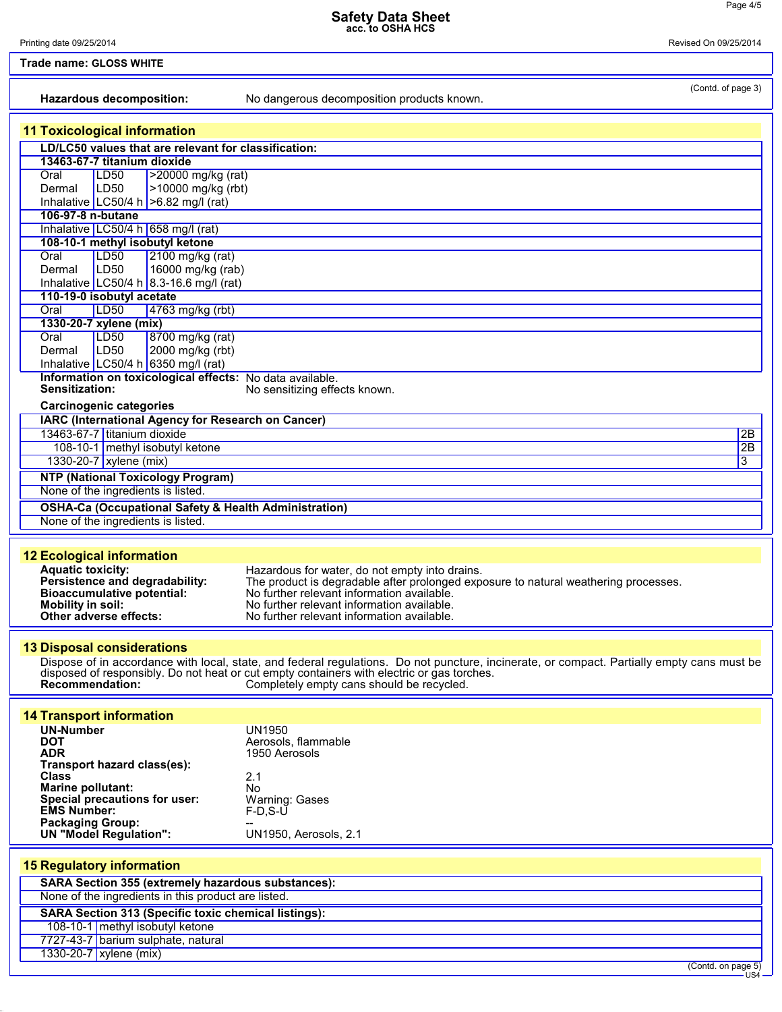Printing date 09/25/2014 Revised On 09/25/2014

| <b>Trade name: GLOSS WHITE</b>                                                                 |                                                                                             |                                                                                                                                            |  |
|------------------------------------------------------------------------------------------------|---------------------------------------------------------------------------------------------|--------------------------------------------------------------------------------------------------------------------------------------------|--|
|                                                                                                | Hazardous decomposition:                                                                    | (Contd. of page 3)<br>No dangerous decomposition products known.                                                                           |  |
|                                                                                                | <b>11 Toxicological information</b>                                                         |                                                                                                                                            |  |
|                                                                                                | LD/LC50 values that are relevant for classification:                                        |                                                                                                                                            |  |
|                                                                                                | 13463-67-7 titanium dioxide                                                                 |                                                                                                                                            |  |
|                                                                                                | LD <sub>50</sub><br>>20000 mg/kg (rat)<br>Oral                                              |                                                                                                                                            |  |
|                                                                                                | LD <sub>50</sub><br>>10000 mg/kg (rbt)<br>Dermal<br>Inhalative LC50/4 h $>6.82$ mg/l (rat)  |                                                                                                                                            |  |
|                                                                                                | 106-97-8 n-butane                                                                           |                                                                                                                                            |  |
|                                                                                                | Inhalative LC50/4 h 658 mg/l (rat)                                                          |                                                                                                                                            |  |
|                                                                                                | 108-10-1 methyl isobutyl ketone                                                             |                                                                                                                                            |  |
|                                                                                                | <b>LD50</b><br>2100 mg/kg (rat)<br>Oral<br>LD <sub>50</sub><br>16000 mg/kg (rab)<br>Dermal  |                                                                                                                                            |  |
|                                                                                                | Inhalative LC50/4 h 8.3-16.6 mg/l (rat)                                                     |                                                                                                                                            |  |
|                                                                                                | 110-19-0 isobutyl acetate                                                                   |                                                                                                                                            |  |
|                                                                                                | Oral<br>LD50<br>4763 mg/kg (rbt)                                                            |                                                                                                                                            |  |
|                                                                                                | 1330-20-7 xylene (mix)<br>8700 mg/kg (rat)<br>Oral<br>LD <sub>50</sub>                      |                                                                                                                                            |  |
|                                                                                                | LD <sub>50</sub><br>2000 mg/kg (rbt)<br>Dermal                                              |                                                                                                                                            |  |
|                                                                                                | Inhalative LC50/4 h 6350 mg/l (rat)                                                         |                                                                                                                                            |  |
|                                                                                                | Information on toxicological effects: No data available.                                    |                                                                                                                                            |  |
|                                                                                                | Sensitization:                                                                              | No sensitizing effects known.                                                                                                              |  |
|                                                                                                | <b>Carcinogenic categories</b><br><b>IARC (International Agency for Research on Cancer)</b> |                                                                                                                                            |  |
|                                                                                                | 13463-67-7 titanium dioxide                                                                 | 2B                                                                                                                                         |  |
|                                                                                                | 108-10-1 methyl isobutyl ketone                                                             | 2B                                                                                                                                         |  |
|                                                                                                | 1330-20-7 xylene (mix)                                                                      | 3                                                                                                                                          |  |
|                                                                                                | <b>NTP (National Toxicology Program)</b>                                                    |                                                                                                                                            |  |
|                                                                                                | None of the ingredients is listed.                                                          |                                                                                                                                            |  |
|                                                                                                | <b>OSHA-Ca (Occupational Safety &amp; Health Administration)</b>                            |                                                                                                                                            |  |
|                                                                                                | None of the ingredients is listed.                                                          |                                                                                                                                            |  |
|                                                                                                |                                                                                             |                                                                                                                                            |  |
|                                                                                                | <b>12 Ecological information</b><br><b>Aquatic toxicity:</b>                                | Hazardous for water, do not empty into drains.                                                                                             |  |
|                                                                                                | Persistence and degradability:                                                              | The product is degradable after prolonged exposure to natural weathering processes.                                                        |  |
|                                                                                                | <b>Bioaccumulative potential:</b><br><b>Mobility in soil:</b>                               | No further relevant information available.<br>No further relevant information available.                                                   |  |
|                                                                                                | Other adverse effects:                                                                      | No further relevant information available.                                                                                                 |  |
|                                                                                                |                                                                                             |                                                                                                                                            |  |
|                                                                                                | <b>13 Disposal considerations</b>                                                           |                                                                                                                                            |  |
|                                                                                                |                                                                                             | Dispose of in accordance with local, state, and federal regulations. Do not puncture, incinerate, or compact. Partially empty cans must be |  |
|                                                                                                | <b>Recommendation:</b>                                                                      | disposed of responsibly. Do not heat or cut empty containers with electric or gas torches.<br>Completely empty cans should be recycled.    |  |
|                                                                                                |                                                                                             |                                                                                                                                            |  |
|                                                                                                | <b>14 Transport information</b>                                                             |                                                                                                                                            |  |
|                                                                                                | <b>UN-Number</b>                                                                            | <b>UN1950</b>                                                                                                                              |  |
|                                                                                                | <b>DOT</b><br><b>ADR</b>                                                                    | Aerosols, flammable<br>1950 Aerosols                                                                                                       |  |
|                                                                                                | Transport hazard class(es):                                                                 |                                                                                                                                            |  |
|                                                                                                | <b>Class</b>                                                                                | 2.1                                                                                                                                        |  |
|                                                                                                | <b>Marine pollutant:</b><br>Special precautions for user:                                   | No<br>Warning: Gases                                                                                                                       |  |
|                                                                                                | <b>EMS Number:</b>                                                                          | $F-D.S-U$                                                                                                                                  |  |
|                                                                                                | <b>Packaging Group:</b><br><b>UN "Model Regulation":</b>                                    | UN1950, Aerosols, 2.1                                                                                                                      |  |
|                                                                                                |                                                                                             |                                                                                                                                            |  |
|                                                                                                | <b>15 Regulatory information</b>                                                            |                                                                                                                                            |  |
|                                                                                                | SARA Section 355 (extremely hazardous substances):                                          |                                                                                                                                            |  |
|                                                                                                | None of the ingredients in this product are listed.                                         |                                                                                                                                            |  |
| <b>SARA Section 313 (Specific toxic chemical listings):</b><br>108-10-1 methyl isobutyl ketone |                                                                                             |                                                                                                                                            |  |
|                                                                                                |                                                                                             |                                                                                                                                            |  |
|                                                                                                | 7727-43-7 barium sulphate, natural<br>1330-20-7 xylene (mix)                                |                                                                                                                                            |  |
|                                                                                                |                                                                                             |                                                                                                                                            |  |